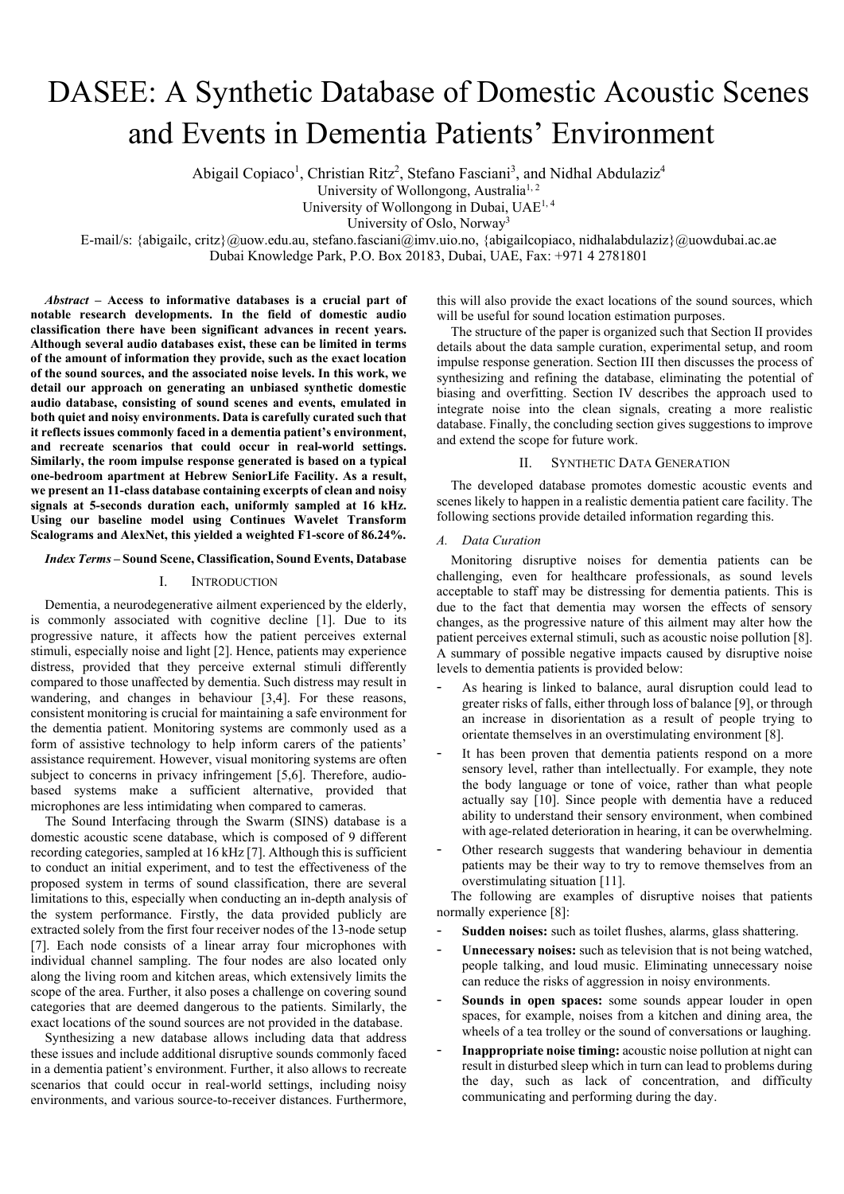# DASEE: A Synthetic Database of Domestic Acoustic Scenes and Events in Dementia Patients' Environment

Abigail Copiaco<sup>1</sup>, Christian Ritz<sup>2</sup>, Stefano Fasciani<sup>3</sup>, and Nidhal Abdulaziz<sup>4</sup>

University of Wollongong, Australia<sup>1, 2</sup>

University of Wollongong in Dubai, UAE1, 4

University of Oslo, Norway3

E-mail/s: {abigailc[, critz}@uow.edu.au,](mailto:critz%7d@uow.edu.au) stefano.fasciani@imv.uio.no, {abigailcopiaco, nidhalabdulaziz}@uowdubai.ac.ae

Dubai Knowledge Park, P.O. Box 20183, Dubai, UAE, Fax: +971 4 2781801

*Abstract* **– Access to informative databases is a crucial part of notable research developments. In the field of domestic audio classification there have been significant advances in recent years. Although several audio databases exist, these can be limited in terms of the amount of information they provide, such as the exact location of the sound sources, and the associated noise levels. In this work, we detail our approach on generating an unbiased synthetic domestic audio database, consisting of sound scenes and events, emulated in both quiet and noisy environments. Data is carefully curated such that it reflects issues commonly faced in a dementia patient's environment, and recreate scenarios that could occur in real-world settings. Similarly, the room impulse response generated is based on a typical one-bedroom apartment at Hebrew SeniorLife Facility. As a result, we present an 11-class database containing excerpts of clean and noisy signals at 5-seconds duration each, uniformly sampled at 16 kHz. Using our baseline model using Continues Wavelet Transform Scalograms and AlexNet, this yielded a weighted F1-score of 86.24%.**

# *Index Terms* **– Sound Scene, Classification, Sound Events, Database**

## I. INTRODUCTION

Dementia, a neurodegenerative ailment experienced by the elderly, is commonly associated with cognitive decline [1]. Due to its progressive nature, it affects how the patient perceives external stimuli, especially noise and light [2]. Hence, patients may experience distress, provided that they perceive external stimuli differently compared to those unaffected by dementia. Such distress may result in wandering, and changes in behaviour [3,4]. For these reasons, consistent monitoring is crucial for maintaining a safe environment for the dementia patient. Monitoring systems are commonly used as a form of assistive technology to help inform carers of the patients' assistance requirement. However, visual monitoring systems are often subject to concerns in privacy infringement [5,6]. Therefore, audiobased systems make a sufficient alternative, provided that microphones are less intimidating when compared to cameras.

The Sound Interfacing through the Swarm (SINS) database is a domestic acoustic scene database, which is composed of 9 different recording categories, sampled at 16 kHz [7]. Although this is sufficient to conduct an initial experiment, and to test the effectiveness of the proposed system in terms of sound classification, there are several limitations to this, especially when conducting an in-depth analysis of the system performance. Firstly, the data provided publicly are extracted solely from the first four receiver nodes of the 13-node setup [7]. Each node consists of a linear array four microphones with individual channel sampling. The four nodes are also located only along the living room and kitchen areas, which extensively limits the scope of the area. Further, it also poses a challenge on covering sound categories that are deemed dangerous to the patients. Similarly, the exact locations of the sound sources are not provided in the database.

Synthesizing a new database allows including data that address these issues and include additional disruptive sounds commonly faced in a dementia patient's environment. Further, it also allows to recreate scenarios that could occur in real-world settings, including noisy environments, and various source-to-receiver distances. Furthermore,

this will also provide the exact locations of the sound sources, which will be useful for sound location estimation purposes.

The structure of the paper is organized such that Section II provides details about the data sample curation, experimental setup, and room impulse response generation. Section III then discusses the process of synthesizing and refining the database, eliminating the potential of biasing and overfitting. Section IV describes the approach used to integrate noise into the clean signals, creating a more realistic database. Finally, the concluding section gives suggestions to improve and extend the scope for future work.

## II. SYNTHETIC DATA GENERATION

The developed database promotes domestic acoustic events and scenes likely to happen in a realistic dementia patient care facility. The following sections provide detailed information regarding this.

## *A. Data Curation*

Monitoring disruptive noises for dementia patients can be challenging, even for healthcare professionals, as sound levels acceptable to staff may be distressing for dementia patients. This is due to the fact that dementia may worsen the effects of sensory changes, as the progressive nature of this ailment may alter how the patient perceives external stimuli, such as acoustic noise pollution [8]. A summary of possible negative impacts caused by disruptive noise levels to dementia patients is provided below:

- As hearing is linked to balance, aural disruption could lead to greater risks of falls, either through loss of balance [9], or through an increase in disorientation as a result of people trying to orientate themselves in an overstimulating environment [8].
- It has been proven that dementia patients respond on a more sensory level, rather than intellectually. For example, they note the body language or tone of voice, rather than what people actually say [10]. Since people with dementia have a reduced ability to understand their sensory environment, when combined with age-related deterioration in hearing, it can be overwhelming.
- Other research suggests that wandering behaviour in dementia patients may be their way to try to remove themselves from an overstimulating situation [11].

The following are examples of disruptive noises that patients normally experience [8]:

- Sudden noises: such as toilet flushes, alarms, glass shattering.
- Unnecessary noises: such as television that is not being watched, people talking, and loud music. Eliminating unnecessary noise can reduce the risks of aggression in noisy environments.
- Sounds in open spaces: some sounds appear louder in open spaces, for example, noises from a kitchen and dining area, the wheels of a tea trolley or the sound of conversations or laughing.
- **Inappropriate noise timing:** acoustic noise pollution at night can result in disturbed sleep which in turn can lead to problems during the day, such as lack of concentration, and difficulty communicating and performing during the day.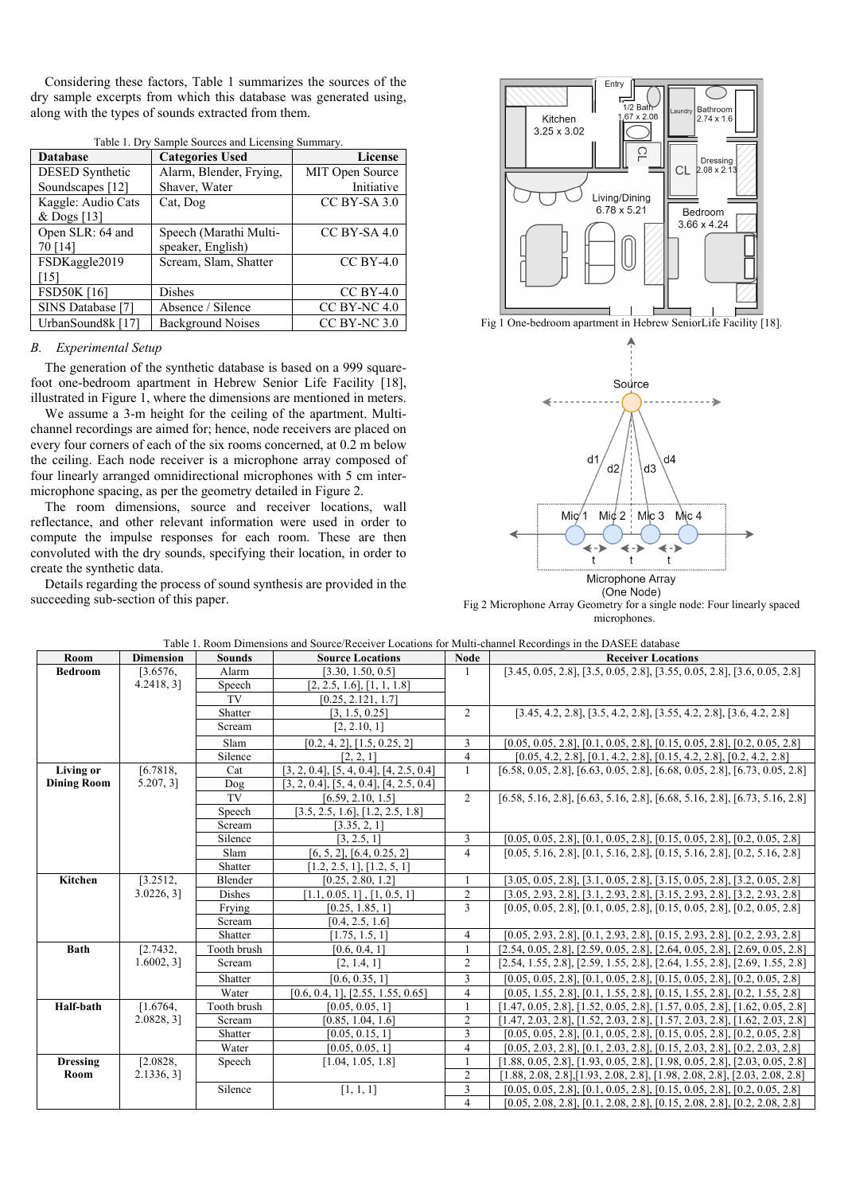Considering these factors, Table 1 summarizes the sources of the dry sample excerpts from which this database was generated using, along with the types of sounds extracted from them.

| <b>Database</b>        | <b>Categories Used</b>   | <b>License</b>   |
|------------------------|--------------------------|------------------|
| <b>DESED</b> Synthetic | Alarm, Blender, Frying,  | MIT Open Source  |
| Soundscapes [12]       | Shaver, Water            | Initiative       |
| Kaggle: Audio Cats     | Cat, Dog                 | CC BY-SA 3.0     |
| & Dogs $[13]$          |                          |                  |
| Open SLR: 64 and       | Speech (Marathi Multi-   | $CC$ BY-SA 4.0   |
| 70 [14]                | speaker, English)        |                  |
| FSDKaggle2019          | Scream, Slam, Shatter    | $CC$ BY-4.0      |
| 151                    |                          |                  |
| <b>FSD50K [16]</b>     | <b>Dishes</b>            | $CC$ BY-4.0      |
| SINS Database [7]      | Absence / Silence        | $CC$ BY-NC 4.0   |
| UrbanSound8k [17]      | <b>Background Noises</b> | $CC$ BY-NC $3.0$ |

Table 1. Dry Sample Sources and Licensing Summary.

## *B. Experimental Setup*

The generation of the synthetic database is based on a 999 squarefoot one-bedroom apartment in Hebrew Senior Life Facility [18], illustrated in Figure 1, where the dimensions are mentioned in meters.

We assume a 3-m height for the ceiling of the apartment. Multichannel recordings are aimed for; hence, node receivers are placed on every four corners of each of the six rooms concerned, at 0.2 m below the ceiling. Each node receiver is a microphone array composed of four linearly arranged omnidirectional microphones with 5 cm intermicrophone spacing, as per the geometry detailed in Figure 2.

The room dimensions, source and receiver locations, wall reflectance, and other relevant information were used in order to compute the impulse responses for each room. These are then convoluted with the dry sounds, specifying their location, in order to create the synthetic data.

Details regarding the process of sound synthesis are provided in the succeeding sub-section of this paper.



Fig 1 One-bedroom apartment in Hebrew SeniorLife Facility [18].



(One Node) Fig 2 Microphone Array Geometry for a single node: Four linearly spaced microphones.

|  |  |  |  | Table 1. Room Dimensions and Source/Receiver Locations for Multi-channel Recordings in the DASEE database |
|--|--|--|--|-----------------------------------------------------------------------------------------------------------|
|  |  |  |  |                                                                                                           |

| Room               | <b>Dimension</b> | <b>Sounds</b> | <b>Source Locations</b>                         | <b>Node</b>    | <b>Receiver Locations</b>                                                             |
|--------------------|------------------|---------------|-------------------------------------------------|----------------|---------------------------------------------------------------------------------------|
| <b>Bedroom</b>     | [3.6576,         | Alarm         | [3.30, 1.50, 0.5]                               |                | $[3.45, 0.05, 2.8], [3.5, 0.05, 2.8], [3.55, 0.05, 2.8], [3.6, 0.05, 2.8]$            |
|                    | 4.2418, 31       | Speech        | [2, 2.5, 1.6], [1, 1, 1.8]                      |                |                                                                                       |
|                    |                  | TV            | [0.25, 2.121, 1.7]                              |                |                                                                                       |
|                    |                  | Shatter       | [3, 1.5, 0.25]                                  | 2              | $[3.45, 4.2, 2.8], [3.5, 4.2, 2.8], [3.55, 4.2, 2.8], [3.6, 4.2, 2.8]$                |
|                    |                  | Scream        | [2, 2.10, 1]                                    |                |                                                                                       |
|                    |                  | Slam          | $[0.2, 4, 2]$ , $[1.5, 0.25, 2]$                | 3              | $[0.05, 0.05, 2.8], [0.1, 0.05, 2.8], [0.15, 0.05, 2.8], [0.2, 0.05, 2.8]$            |
|                    |                  | Silence       | [2, 2, 1]                                       | $\overline{4}$ | $[0.05, 4.2, 2.8], [0.1, 4.2, 2.8], [0.15, 4.2, 2.8], [0.2, 4.2, 2.8]$                |
| <b>Living or</b>   | [6.7818,         | Cat           | $[3, 2, 0.4], [5, 4, 0.4], [4, 2.5, 0.4]$       | $\mathbf{1}$   | $[6.58, 0.05, 2.8], [6.63, 0.05, 2.8], [6.68, 0.05, 2.8], [6.73, 0.05, 2.8]$          |
| <b>Dining Room</b> | 5.207, 31        | Dog           | $[3, 2, 0.4]$ , $[5, 4, 0.4]$ , $[4, 2.5, 0.4]$ |                |                                                                                       |
|                    |                  | TV            | [6.59, 2.10, 1.5]                               | 2              | $[6.58, 5.16, 2.8], [6.63, 5.16, 2.8], [6.68, 5.16, 2.8], [6.73, 5.16, 2.8]$          |
|                    |                  | Speech        | [3.5, 2.5, 1.6], [1.2, 2.5, 1.8]                |                |                                                                                       |
|                    |                  | Scream        | [3.35, 2, 1]                                    |                |                                                                                       |
|                    |                  | Silence       | [3, 2.5, 1]                                     | 3              | $[0.05, 0.05, 2.8], [0.1, 0.05, 2.8], [0.15, 0.05, 2.8], [0.2, 0.05, 2.8]$            |
|                    |                  | Slam          | $[6, 5, 2]$ , $[6.4, 0.25, 2]$                  | $\overline{4}$ | $[0.05, 5.16, 2.8], [0.1, 5.16, 2.8], [0.15, 5.16, 2.8], [0.2, 5.16, 2.8]$            |
|                    |                  | Shatter       | [1.2, 2.5, 1], [1.2, 5, 1]                      |                |                                                                                       |
| Kitchen            | [3.2512,         | Blender       | [0.25, 2.80, 1.2]                               |                | $[3.05, 0.05, 2.8], [3.1, 0.05, 2.8], [3.15, 0.05, 2.8], [3.2, 0.05, 2.8]$            |
|                    | $3.0226, 3$ ]    | Dishes        | [1.1, 0.05, 1], [1, 0.5, 1]                     | $\overline{2}$ | $[3.05, 2.93, 2.8], [3.1, 2.93, 2.8], [3.15, 2.93, 2.8], [3.2, 2.93, 2.8]$            |
|                    |                  | Frying        | [0.25, 1.85, 1]                                 | 3              | $[0.05, 0.05, 2.8], [0.1, 0.05, 2.8], [0.15, 0.05, 2.8], [0.2, 0.05, 2.8]$            |
|                    |                  | Scream        | [0.4, 2.5, 1.6]                                 |                |                                                                                       |
|                    |                  | Shatter       | [1.75, 1.5, 1]                                  | $\overline{4}$ | $[0.05, 2.93, 2.8], [0.1, 2.93, 2.8], [0.15, 2.93, 2.8], [0.2, 2.93, 2.8]$            |
| <b>Bath</b>        | [2.7432,         | Tooth brush   | [0.6, 0.4, 1]                                   | 1              | $[2.54, 0.05, 2.8], [2.59, 0.05, 2.8], [2.64, 0.05, 2.8], [2.69, 0.05, 2.8]$          |
|                    | $1.6002, 3$ ]    | Scream        | [2, 1.4, 1]                                     | $\overline{2}$ | $[2.54, 1.55, 2.8], [2.59, 1.55, 2.8], [2.64, 1.55, 2.8], [2.69, 1.55, 2.8]$          |
|                    |                  | Shatter       | [0.6, 0.35, 1]                                  | 3              | $[0.05, 0.05, 2.8], [0.1, 0.05, 2.8], [0.15, 0.05, 2.8], [0.2, 0.05, 2.8]$            |
|                    |                  | Water         | [0.6, 0.4, 1], [2.55, 1.55, 0.65]               | $\overline{4}$ | $[0.05, 1.55, 2.8], [0.1, 1.55, 2.8], [0.15, 1.55, 2.8], [0.2, 1.55, 2.8]$            |
| Half-bath          | [1.6764,         | Tooth brush   | [0.05, 0.05, 1]                                 | $\mathbf{1}$   | $[1.47, 0.05, 2.8], [1.52, 0.05, 2.8], [1.57, 0.05, 2.8], [1.62, 0.05, 2.8]$          |
|                    | 2.0828, 3]       | Scream        | [0.85, 1.04, 1.6]                               | $\overline{2}$ | $[1.47, 2.03, 2.8], [1.52, 2.03, 2.8], [1.57, 2.03, 2.8], [1.62, 2.03, 2.8]$          |
|                    |                  | Shatter       | [0.05, 0.15, 1]                                 | 3              | $[0.05, 0.05, 2.8], [0.1, 0.05, 2.8], [0.15, 0.05, 2.8], [0.2, 0.05, 2.8]$            |
|                    |                  | Water         | [0.05, 0.05, 1]                                 | $\overline{4}$ | $[0.05, 2.03, 2.8], [0.1, 2.03, 2.8], [0.15, 2.03, 2.8], [0.2, 2.03, 2.8]$            |
| <b>Dressing</b>    | [2.0828,         | Speech        | [1.04, 1.05, 1.8]                               |                | $[1.88, 0.05, 2.8], [1.93, 0.05, 2.8], [1.98, 0.05, 2.8], [2.03, 0.05, 2.8]$          |
| Room               | 2.1336, 31       |               |                                                 | $\overline{2}$ | $[1.88, 2.08, 2.8]$ , $[1.93, 2.08, 2.8]$ , $[1.98, 2.08, 2.8]$ , $[2.03, 2.08, 2.8]$ |
|                    |                  | Silence       | [1, 1, 1]                                       | $\overline{3}$ | $[0.05, 0.05, 2.8], [0.1, 0.05, 2.8], [0.15, 0.05, 2.8], [0.2, 0.05, 2.8]$            |
|                    |                  |               |                                                 | $\overline{4}$ | $[0.05, 2.08, 2.8], [0.1, 2.08, 2.8], [0.15, 2.08, 2.8], [0.2, 2.08, 2.8]$            |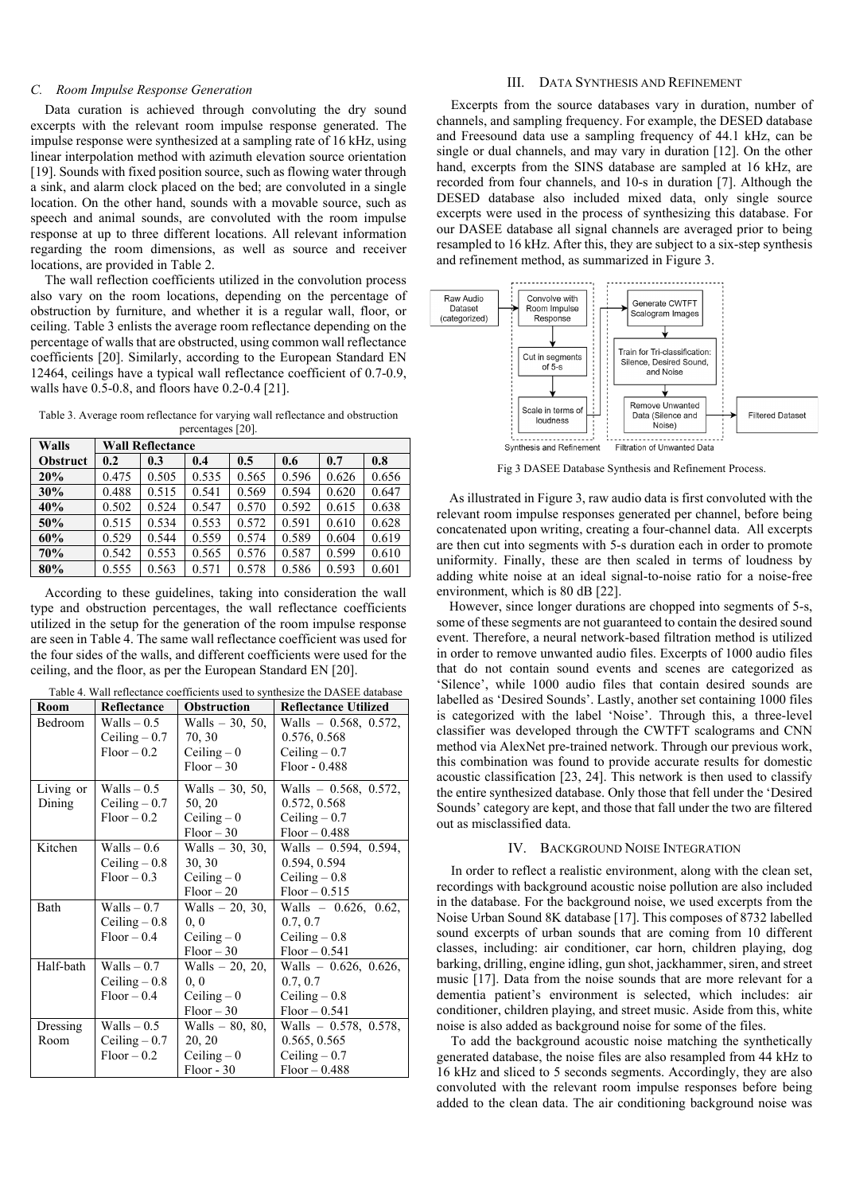#### *C. Room Impulse Response Generation*

Data curation is achieved through convoluting the dry sound excerpts with the relevant room impulse response generated. The impulse response were synthesized at a sampling rate of 16 kHz, using linear interpolation method with azimuth elevation source orientation [19]. Sounds with fixed position source, such as flowing water through a sink, and alarm clock placed on the bed; are convoluted in a single location. On the other hand, sounds with a movable source, such as speech and animal sounds, are convoluted with the room impulse response at up to three different locations. All relevant information regarding the room dimensions, as well as source and receiver locations, are provided in Table 2.

The wall reflection coefficients utilized in the convolution process also vary on the room locations, depending on the percentage of obstruction by furniture, and whether it is a regular wall, floor, or ceiling. Table 3 enlists the average room reflectance depending on the percentage of walls that are obstructed, using common wall reflectance coefficients [20]. Similarly, according to the European Standard EN 12464, ceilings have a typical wall reflectance coefficient of 0.7-0.9, walls have 0.5-0.8, and floors have 0.2-0.4 [21].

Table 3. Average room reflectance for varying wall reflectance and obstruction percentages [20].

| Walls           | <b>Wall Reflectance</b> |       |       |       |       |       |       |  |  |
|-----------------|-------------------------|-------|-------|-------|-------|-------|-------|--|--|
| <b>Obstruct</b> | 0.2                     | 0.3   | 0.4   | 0.5   | 0.6   | 0.7   | 0.8   |  |  |
| 20%             | 0.475                   | 0.505 | 0.535 | 0.565 | 0.596 | 0.626 | 0.656 |  |  |
| 30%             | 0.488                   | 0.515 | 0.541 | 0.569 | 0.594 | 0.620 | 0.647 |  |  |
| 40%             | 0.502                   | 0.524 | 0.547 | 0.570 | 0.592 | 0.615 | 0.638 |  |  |
| 50%             | 0.515                   | 0.534 | 0.553 | 0.572 | 0.591 | 0.610 | 0.628 |  |  |
| 60%             | 0.529                   | 0.544 | 0.559 | 0.574 | 0.589 | 0.604 | 0.619 |  |  |
| 70%             | 0.542                   | 0.553 | 0.565 | 0.576 | 0.587 | 0.599 | 0.610 |  |  |
| 80%             | 0.555                   | 0.563 | 0.571 | 0.578 | 0.586 | 0.593 | 0.601 |  |  |

According to these guidelines, taking into consideration the wall type and obstruction percentages, the wall reflectance coefficients utilized in the setup for the generation of the room impulse response are seen in Table 4. The same wall reflectance coefficient was used for the four sides of the walls, and different coefficients were used for the ceiling, and the floor, as per the European Standard EN [20].

| Table 4. Wall reflectance coefficients used to synthesize the DASEE database |                |                    |                             |  |  |  |  |
|------------------------------------------------------------------------------|----------------|--------------------|-----------------------------|--|--|--|--|
| Room                                                                         | Reflectance    | <b>Obstruction</b> | <b>Reflectance Utilized</b> |  |  |  |  |
| Bedroom                                                                      | $Walls - 0.5$  | Walls - 30, 50,    | Walls $= 0.568, 0.572,$     |  |  |  |  |
|                                                                              | Ceiling $-0.7$ | 70, 30             | 0.576, 0.568                |  |  |  |  |
|                                                                              | $Floor - 0.2$  | Ceiling $-0$       | Ceiling $-0.7$              |  |  |  |  |
|                                                                              |                | $Floor - 30$       | Floor - 0.488               |  |  |  |  |
| Living or                                                                    | $Walls - 0.5$  | Walls - 30, 50,    | Walls $= 0.568, 0.572,$     |  |  |  |  |
| Dining                                                                       | Ceiling $-0.7$ | 50, 20             | 0.572, 0.568                |  |  |  |  |
|                                                                              | $Floor - 0.2$  | Ceiling $-0$       | Ceiling $-0.7$              |  |  |  |  |
|                                                                              |                | $Floor-30$         | $Floor - 0.488$             |  |  |  |  |
| Kitchen                                                                      | $Walls - 0.6$  | Walls $-30, 30,$   | Walls $-$ 0.594, 0.594,     |  |  |  |  |
|                                                                              | Ceiling $-0.8$ | 30, 30             | 0.594, 0.594                |  |  |  |  |
|                                                                              | $Floor - 0.3$  | Ceiling $-0$       | Ceiling $-0.8$              |  |  |  |  |
|                                                                              |                | $Floor-20$         | $Floor - 0.515$             |  |  |  |  |
| Bath                                                                         | $Walls - 0.7$  | Walls $- 20, 30,$  | Walls $-$ 0.626, 0.62,      |  |  |  |  |
|                                                                              | Ceiling $-0.8$ | 0, 0               | 0.7, 0.7                    |  |  |  |  |
|                                                                              | $Floor - 0.4$  | Ceiling $-0$       | Ceiling $-0.8$              |  |  |  |  |
|                                                                              |                | $Floor-30$         | $Floor - 0.541$             |  |  |  |  |
| Half-bath                                                                    | $Walls - 0.7$  | Walls - 20, 20,    | Walls $-$ 0.626, 0.626,     |  |  |  |  |
|                                                                              | Ceiling $-0.8$ | 0, 0               | 0.7, 0.7                    |  |  |  |  |
|                                                                              | $Floor - 0.4$  | Ceiling $-0$       | Ceiling $-0.8$              |  |  |  |  |
|                                                                              |                | $Floor-30$         | $Floor - 0.541$             |  |  |  |  |
| Dressing                                                                     | $Walls - 0.5$  | $Walls - 80, 80,$  | Walls - 0.578, 0.578,       |  |  |  |  |
| Room                                                                         | Ceiling $-0.7$ | 20, 20             | 0.565, 0.565                |  |  |  |  |
|                                                                              | $Floor - 0.2$  | Ceiling $-0$       | Ceiling $-0.7$              |  |  |  |  |
|                                                                              |                | $Floor - 30$       | $Floor - 0.488$             |  |  |  |  |

#### III. DATA SYNTHESIS AND REFINEMENT

Excerpts from the source databases vary in duration, number of channels, and sampling frequency. For example, the DESED database and Freesound data use a sampling frequency of 44.1 kHz, can be single or dual channels, and may vary in duration [12]. On the other hand, excerpts from the SINS database are sampled at 16 kHz, are recorded from four channels, and 10-s in duration [7]. Although the DESED database also included mixed data, only single source excerpts were used in the process of synthesizing this database. For our DASEE database all signal channels are averaged prior to being resampled to 16 kHz. After this, they are subject to a six-step synthesis and refinement method, as summarized in Figure 3.



Fig 3 DASEE Database Synthesis and Refinement Process.

As illustrated in Figure 3, raw audio data is first convoluted with the relevant room impulse responses generated per channel, before being concatenated upon writing, creating a four-channel data. All excerpts are then cut into segments with 5-s duration each in order to promote uniformity. Finally, these are then scaled in terms of loudness by adding white noise at an ideal signal-to-noise ratio for a noise-free environment, which is 80 dB [22].

However, since longer durations are chopped into segments of 5-s, some of these segments are not guaranteed to contain the desired sound event. Therefore, a neural network-based filtration method is utilized in order to remove unwanted audio files. Excerpts of 1000 audio files that do not contain sound events and scenes are categorized as 'Silence', while 1000 audio files that contain desired sounds are labelled as 'Desired Sounds'. Lastly, another set containing 1000 files is categorized with the label 'Noise'. Through this, a three-level classifier was developed through the CWTFT scalograms and CNN method via AlexNet pre-trained network. Through our previous work, this combination was found to provide accurate results for domestic acoustic classification [23, 24]. This network is then used to classify the entire synthesized database. Only those that fell under the 'Desired Sounds' category are kept, and those that fall under the two are filtered out as misclassified data.

## IV. BACKGROUND NOISE INTEGRATION

In order to reflect a realistic environment, along with the clean set, recordings with background acoustic noise pollution are also included in the database. For the background noise, we used excerpts from the Noise Urban Sound 8K database [17]. This composes of 8732 labelled sound excerpts of urban sounds that are coming from 10 different classes, including: air conditioner, car horn, children playing, dog barking, drilling, engine idling, gun shot, jackhammer, siren, and street music [17]. Data from the noise sounds that are more relevant for a dementia patient's environment is selected, which includes: air conditioner, children playing, and street music. Aside from this, white noise is also added as background noise for some of the files.

To add the background acoustic noise matching the synthetically generated database, the noise files are also resampled from 44 kHz to 16 kHz and sliced to 5 seconds segments. Accordingly, they are also convoluted with the relevant room impulse responses before being added to the clean data. The air conditioning background noise was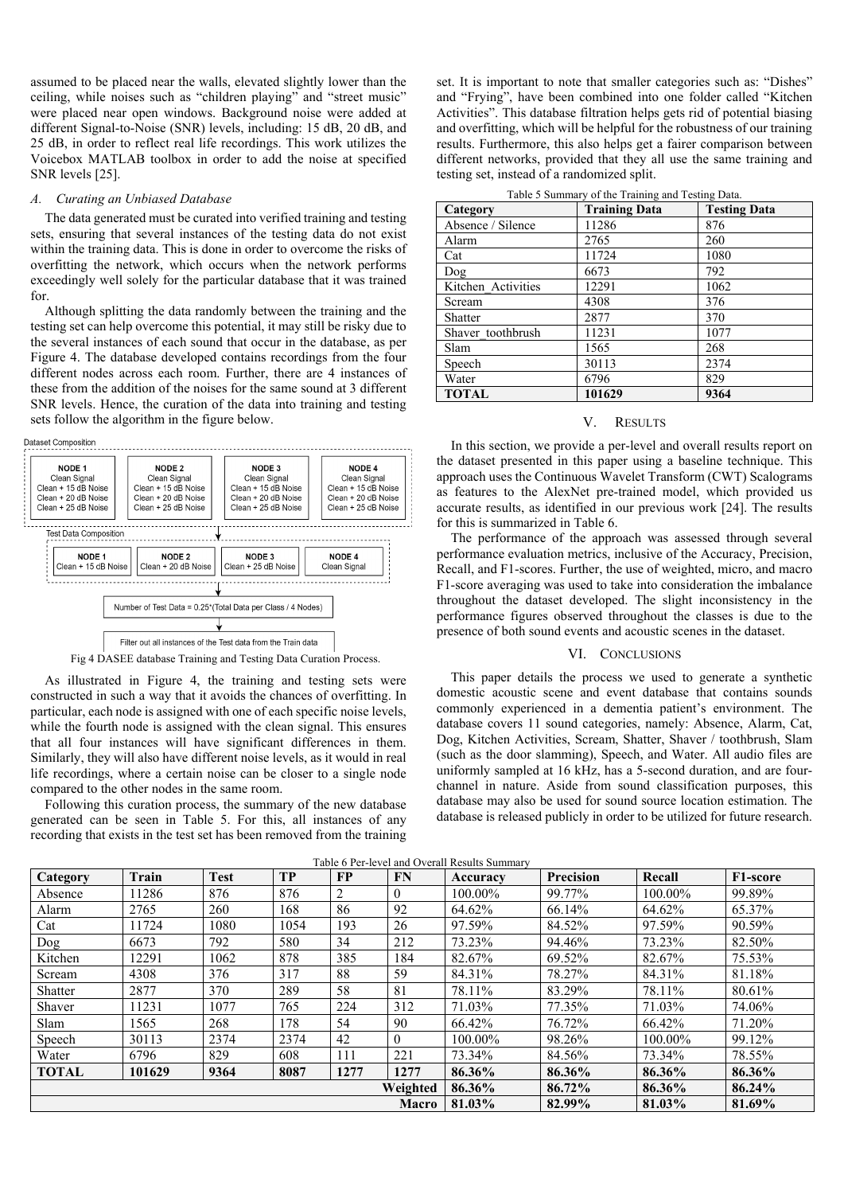assumed to be placed near the walls, elevated slightly lower than the ceiling, while noises such as "children playing" and "street music" were placed near open windows. Background noise were added at different Signal-to-Noise (SNR) levels, including: 15 dB, 20 dB, and 25 dB, in order to reflect real life recordings. This work utilizes the Voicebox MATLAB toolbox in order to add the noise at specified SNR levels [25].

### *A. Curating an Unbiased Database*

The data generated must be curated into verified training and testing sets, ensuring that several instances of the testing data do not exist within the training data. This is done in order to overcome the risks of overfitting the network, which occurs when the network performs exceedingly well solely for the particular database that it was trained for.

Although splitting the data randomly between the training and the testing set can help overcome this potential, it may still be risky due to the several instances of each sound that occur in the database, as per Figure 4. The database developed contains recordings from the four different nodes across each room. Further, there are 4 instances of these from the addition of the noises for the same sound at 3 different SNR levels. Hence, the curation of the data into training and testing sets follow the algorithm in the figure below.





Fig 4 DASEE database Training and Testing Data Curation Process.

As illustrated in Figure 4, the training and testing sets were constructed in such a way that it avoids the chances of overfitting. In particular, each node is assigned with one of each specific noise levels, while the fourth node is assigned with the clean signal. This ensures that all four instances will have significant differences in them. Similarly, they will also have different noise levels, as it would in real life recordings, where a certain noise can be closer to a single node compared to the other nodes in the same room.

Following this curation process, the summary of the new database generated can be seen in Table 5. For this, all instances of any recording that exists in the test set has been removed from the training

set. It is important to note that smaller categories such as: "Dishes" and "Frying", have been combined into one folder called "Kitchen Activities". This database filtration helps gets rid of potential biasing and overfitting, which will be helpful for the robustness of our training results. Furthermore, this also helps get a fairer comparison between different networks, provided that they all use the same training and testing set, instead of a randomized split.

| Category           | <b>Training Data</b> | <b>Testing Data</b> |
|--------------------|----------------------|---------------------|
| Absence / Silence  | 11286                | 876                 |
| Alarm              | 2765                 | 260                 |
| Cat                | 11724                | 1080                |
| Dog                | 6673                 | 792                 |
| Kitchen Activities | 12291                | 1062                |
| Scream             | 4308                 | 376                 |
| Shatter            | 2877                 | 370                 |
| Shaver toothbrush  | 11231                | 1077                |
| Slam               | 1565                 | 268                 |
| Speech             | 30113                | 2374                |
| Water              | 6796                 | 829                 |
| <b>TOTAL</b>       | 101629               | 9364                |

### V. RESULTS

In this section, we provide a per-level and overall results report on the dataset presented in this paper using a baseline technique. This approach uses the Continuous Wavelet Transform (CWT) Scalograms as features to the AlexNet pre-trained model, which provided us accurate results, as identified in our previous work [24]. The results for this is summarized in Table 6.

The performance of the approach was assessed through several performance evaluation metrics, inclusive of the Accuracy, Precision, Recall, and F1-scores. Further, the use of weighted, micro, and macro F1-score averaging was used to take into consideration the imbalance throughout the dataset developed. The slight inconsistency in the performance figures observed throughout the classes is due to the presence of both sound events and acoustic scenes in the dataset.

#### VI. CONCLUSIONS

This paper details the process we used to generate a synthetic domestic acoustic scene and event database that contains sounds commonly experienced in a dementia patient's environment. The database covers 11 sound categories, namely: Absence, Alarm, Cat, Dog, Kitchen Activities, Scream, Shatter, Shaver / toothbrush, Slam (such as the door slamming), Speech, and Water. All audio files are uniformly sampled at 16 kHz, has a 5-second duration, and are fourchannel in nature. Aside from sound classification purposes, this database may also be used for sound source location estimation. The database is released publicly in order to be utilized for future research.

| Category     | Train  | <b>Test</b> | <b>TP</b> | <b>FP</b> | <b>FN</b>    | Accuracy | Precision | Recall  | F1-score |
|--------------|--------|-------------|-----------|-----------|--------------|----------|-----------|---------|----------|
| Absence      | 11286  | 876         | 876       |           | $\theta$     | 100.00%  | 99.77%    | 100.00% | 99.89%   |
| Alarm        | 2765   | 260         | 168       | 86        | 92           | 64.62%   | 66.14%    | 64.62%  | 65.37%   |
| Cat          | 11724  | 1080        | 1054      | 193       | 26           | 97.59%   | 84.52%    | 97.59%  | 90.59%   |
| Dog          | 6673   | 792         | 580       | 34        | 212          | 73.23%   | 94.46%    | 73.23%  | 82.50%   |
| Kitchen      | 12291  | 1062        | 878       | 385       | 184          | 82.67%   | 69.52%    | 82.67%  | 75.53%   |
| Scream       | 4308   | 376         | 317       | 88        | 59           | 84.31%   | 78.27%    | 84.31%  | 81.18%   |
| Shatter      | 2877   | 370         | 289       | 58        | 81           | 78.11%   | 83.29%    | 78.11%  | 80.61%   |
| Shaver       | 11231  | 1077        | 765       | 224       | 312          | 71.03%   | 77.35%    | 71.03%  | 74.06%   |
| Slam         | 1565   | 268         | 178       | 54        | 90           | 66.42%   | 76.72%    | 66.42%  | 71.20%   |
| Speech       | 30113  | 2374        | 2374      | 42        | $\theta$     | 100.00%  | 98.26%    | 100.00% | 99.12%   |
| Water        | 6796   | 829         | 608       | 111       | 221          | 73.34%   | 84.56%    | 73.34%  | 78.55%   |
| <b>TOTAL</b> | 101629 | 9364        | 8087      | 1277      | 1277         | 86.36%   | 86.36%    | 86.36%  | 86.36%   |
|              |        |             |           |           | Weighted     | 86.36%   | 86.72%    | 86.36%  | 86.24%   |
|              |        |             |           |           | <b>Macro</b> | 81.03%   | 82.99%    | 81.03%  | 81.69%   |

Table 6 Per-level and Overall Results Summary